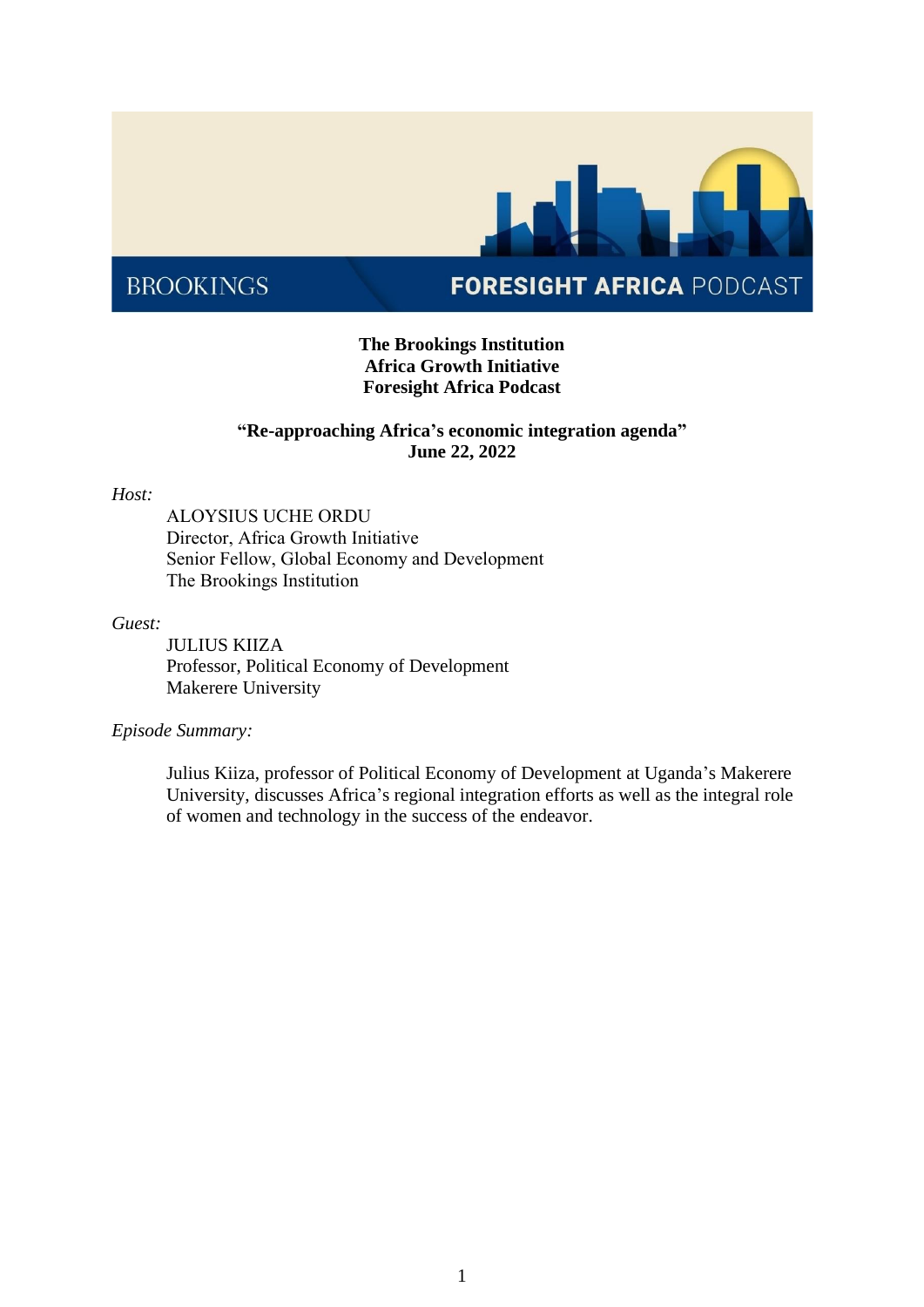

# **FORESIGHT AFRICA PODCAST**

## **The Brookings Institution Africa Growth Initiative Foresight Africa Podcast**

## **"Re-approaching Africa's economic integration agenda" June 22, 2022**

#### *Host:*

ALOYSIUS UCHE ORDU  Director, Africa Growth Initiative  Senior Fellow, Global Economy and Development  The Brookings Institution 

#### *Guest:*

JULIUS KIIZA Professor, Political Economy of Development Makerere University

### *Episode Summary:*

Julius Kiiza, professor of Political Economy of Development at Uganda's Makerere University, discusses Africa's regional integration efforts as well as the integral role of women and technology in the success of the endeavor.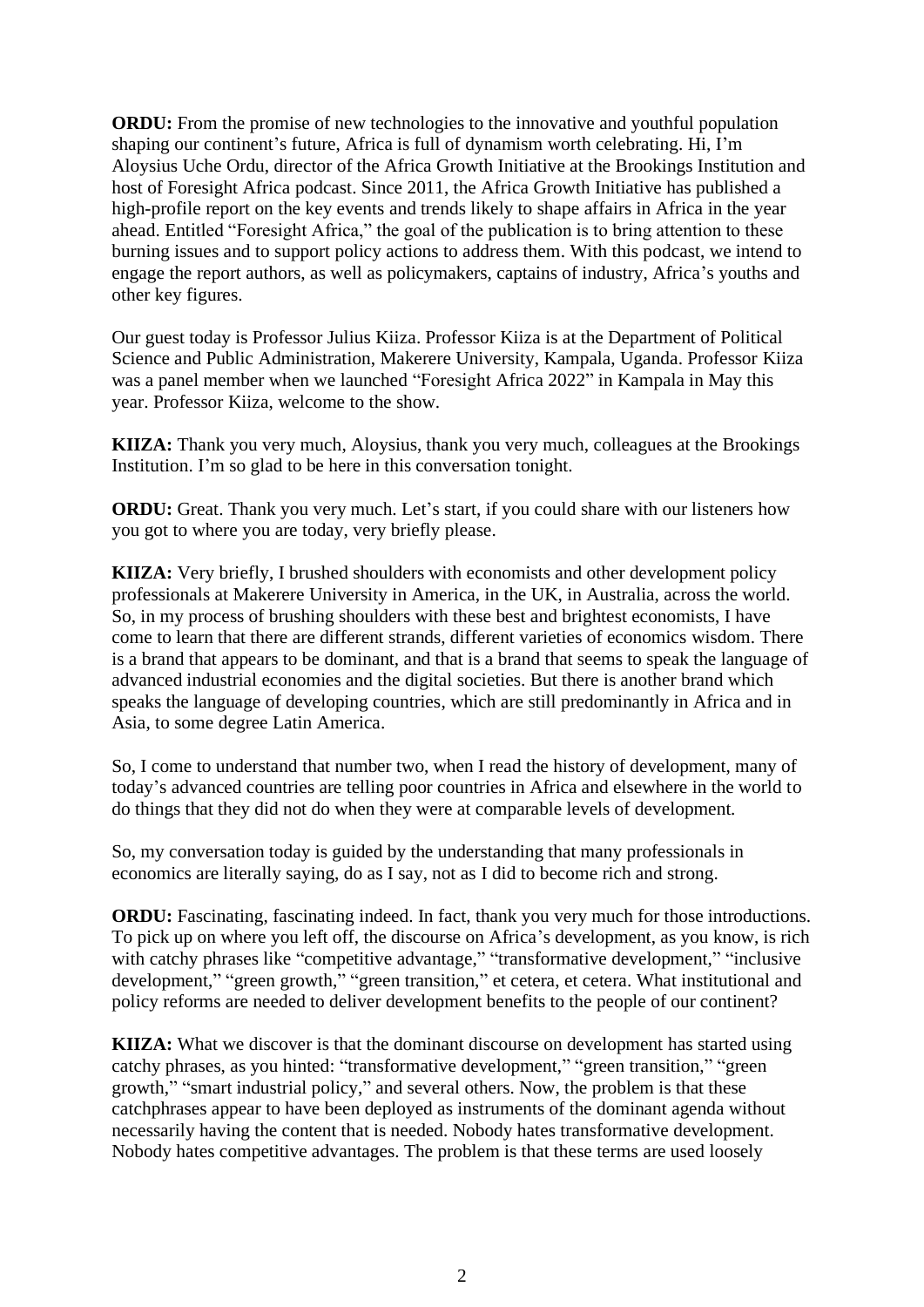**ORDU:** From the promise of new technologies to the innovative and youthful population shaping our continent's future, Africa is full of dynamism worth celebrating. Hi, I'm Aloysius Uche Ordu, director of the Africa Growth Initiative at the Brookings Institution and host of Foresight Africa podcast. Since 2011, the Africa Growth Initiative has published a high-profile report on the key events and trends likely to shape affairs in Africa in the year ahead. Entitled "Foresight Africa," the goal of the publication is to bring attention to these burning issues and to support policy actions to address them. With this podcast, we intend to engage the report authors, as well as policymakers, captains of industry, Africa's youths and other key figures.

Our guest today is Professor Julius Kiiza. Professor Kiiza is at the Department of Political Science and Public Administration, Makerere University, Kampala, Uganda. Professor Kiiza was a panel member when we launched "Foresight Africa 2022" in Kampala in May this year. Professor Kiiza, welcome to the show.

**KIIZA:** Thank you very much, Aloysius, thank you very much, colleagues at the Brookings Institution. I'm so glad to be here in this conversation tonight.

**ORDU:** Great. Thank you very much. Let's start, if you could share with our listeners how you got to where you are today, very briefly please.

**KIIZA:** Very briefly, I brushed shoulders with economists and other development policy professionals at Makerere University in America, in the UK, in Australia, across the world. So, in my process of brushing shoulders with these best and brightest economists, I have come to learn that there are different strands, different varieties of economics wisdom. There is a brand that appears to be dominant, and that is a brand that seems to speak the language of advanced industrial economies and the digital societies. But there is another brand which speaks the language of developing countries, which are still predominantly in Africa and in Asia, to some degree Latin America.

So, I come to understand that number two, when I read the history of development, many of today's advanced countries are telling poor countries in Africa and elsewhere in the world to do things that they did not do when they were at comparable levels of development.

So, my conversation today is guided by the understanding that many professionals in economics are literally saying, do as I say, not as I did to become rich and strong.

**ORDU:** Fascinating, fascinating indeed. In fact, thank you very much for those introductions. To pick up on where you left off, the discourse on Africa's development, as you know, is rich with catchy phrases like "competitive advantage," "transformative development," "inclusive development," "green growth," "green transition," et cetera, et cetera. What institutional and policy reforms are needed to deliver development benefits to the people of our continent?

**KIIZA:** What we discover is that the dominant discourse on development has started using catchy phrases, as you hinted: "transformative development," "green transition," "green growth," "smart industrial policy," and several others. Now, the problem is that these catchphrases appear to have been deployed as instruments of the dominant agenda without necessarily having the content that is needed. Nobody hates transformative development. Nobody hates competitive advantages. The problem is that these terms are used loosely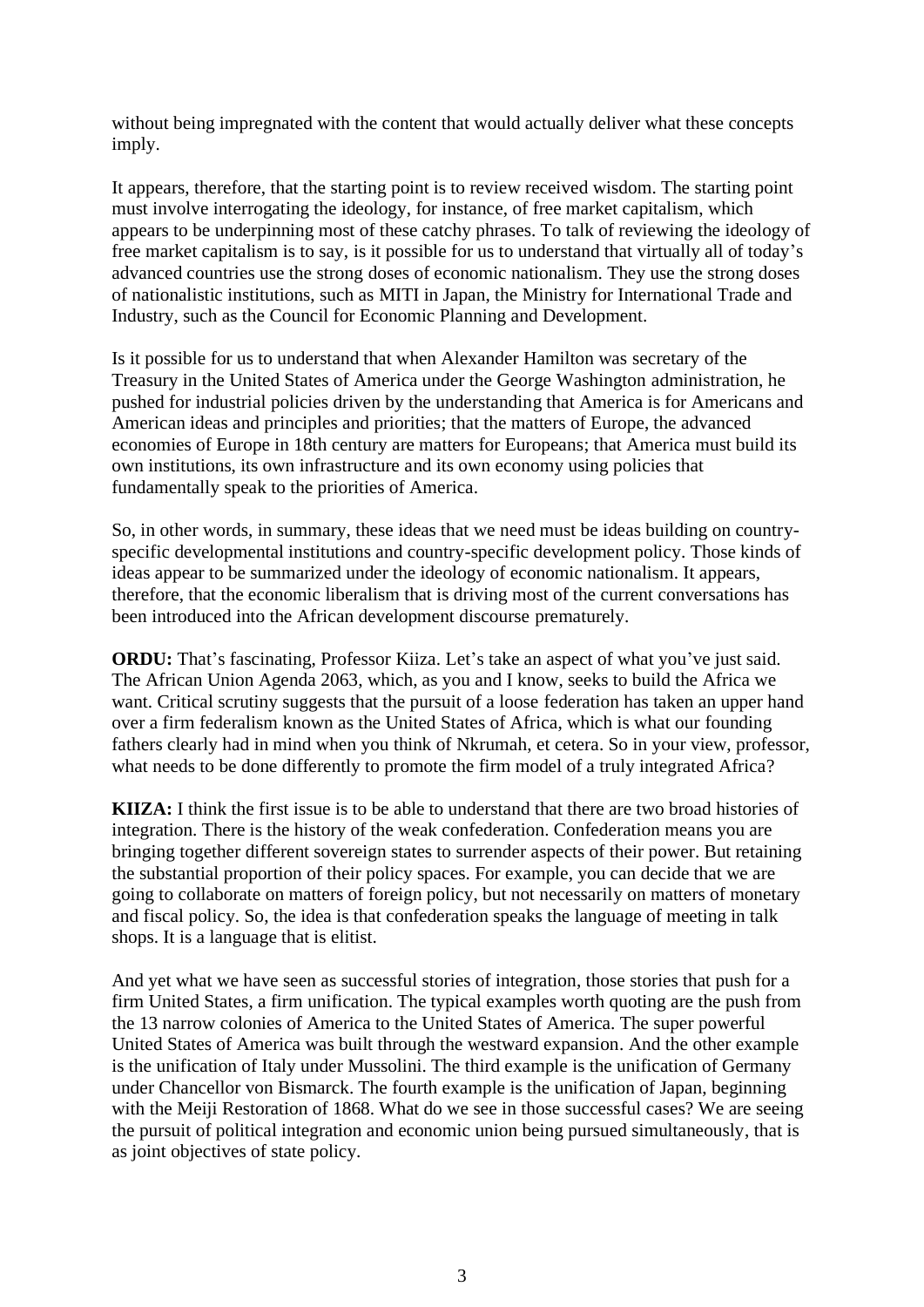without being impregnated with the content that would actually deliver what these concepts imply.

It appears, therefore, that the starting point is to review received wisdom. The starting point must involve interrogating the ideology, for instance, of free market capitalism, which appears to be underpinning most of these catchy phrases. To talk of reviewing the ideology of free market capitalism is to say, is it possible for us to understand that virtually all of today's advanced countries use the strong doses of economic nationalism. They use the strong doses of nationalistic institutions, such as MITI in Japan, the Ministry for International Trade and Industry, such as the Council for Economic Planning and Development.

Is it possible for us to understand that when Alexander Hamilton was secretary of the Treasury in the United States of America under the George Washington administration, he pushed for industrial policies driven by the understanding that America is for Americans and American ideas and principles and priorities; that the matters of Europe, the advanced economies of Europe in 18th century are matters for Europeans; that America must build its own institutions, its own infrastructure and its own economy using policies that fundamentally speak to the priorities of America.

So, in other words, in summary, these ideas that we need must be ideas building on countryspecific developmental institutions and country-specific development policy. Those kinds of ideas appear to be summarized under the ideology of economic nationalism. It appears, therefore, that the economic liberalism that is driving most of the current conversations has been introduced into the African development discourse prematurely.

**ORDU:** That's fascinating, Professor Kiiza. Let's take an aspect of what you've just said. The African Union Agenda 2063, which, as you and I know, seeks to build the Africa we want. Critical scrutiny suggests that the pursuit of a loose federation has taken an upper hand over a firm federalism known as the United States of Africa, which is what our founding fathers clearly had in mind when you think of Nkrumah, et cetera. So in your view, professor, what needs to be done differently to promote the firm model of a truly integrated Africa?

**KIIZA:** I think the first issue is to be able to understand that there are two broad histories of integration. There is the history of the weak confederation. Confederation means you are bringing together different sovereign states to surrender aspects of their power. But retaining the substantial proportion of their policy spaces. For example, you can decide that we are going to collaborate on matters of foreign policy, but not necessarily on matters of monetary and fiscal policy. So, the idea is that confederation speaks the language of meeting in talk shops. It is a language that is elitist.

And yet what we have seen as successful stories of integration, those stories that push for a firm United States, a firm unification. The typical examples worth quoting are the push from the 13 narrow colonies of America to the United States of America. The super powerful United States of America was built through the westward expansion. And the other example is the unification of Italy under Mussolini. The third example is the unification of Germany under Chancellor von Bismarck. The fourth example is the unification of Japan, beginning with the Meiji Restoration of 1868. What do we see in those successful cases? We are seeing the pursuit of political integration and economic union being pursued simultaneously, that is as joint objectives of state policy.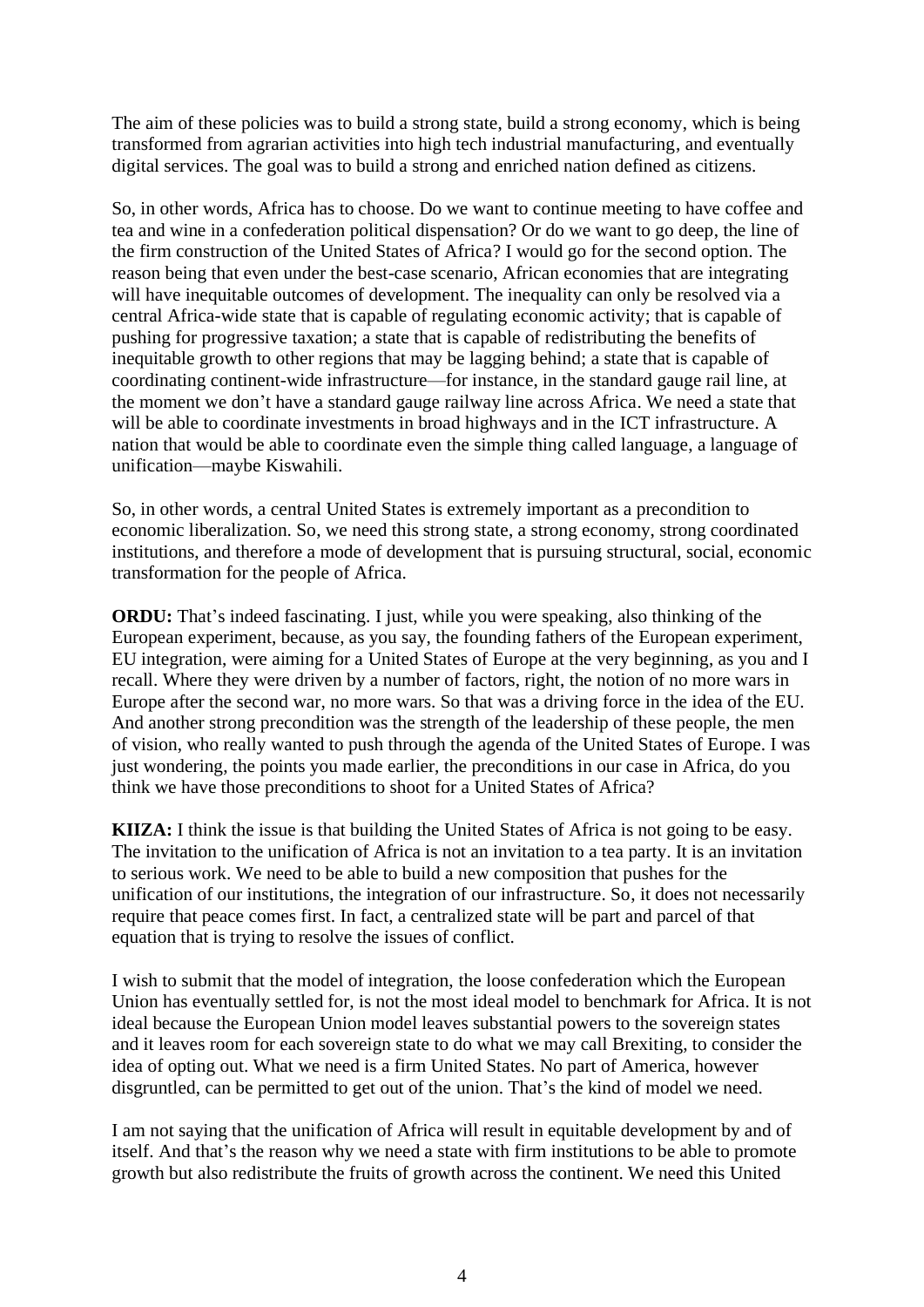The aim of these policies was to build a strong state, build a strong economy, which is being transformed from agrarian activities into high tech industrial manufacturing, and eventually digital services. The goal was to build a strong and enriched nation defined as citizens.

So, in other words, Africa has to choose. Do we want to continue meeting to have coffee and tea and wine in a confederation political dispensation? Or do we want to go deep, the line of the firm construction of the United States of Africa? I would go for the second option. The reason being that even under the best-case scenario, African economies that are integrating will have inequitable outcomes of development. The inequality can only be resolved via a central Africa-wide state that is capable of regulating economic activity; that is capable of pushing for progressive taxation; a state that is capable of redistributing the benefits of inequitable growth to other regions that may be lagging behind; a state that is capable of coordinating continent-wide infrastructure—for instance, in the standard gauge rail line, at the moment we don't have a standard gauge railway line across Africa. We need a state that will be able to coordinate investments in broad highways and in the ICT infrastructure. A nation that would be able to coordinate even the simple thing called language, a language of unification—maybe Kiswahili.

So, in other words, a central United States is extremely important as a precondition to economic liberalization. So, we need this strong state, a strong economy, strong coordinated institutions, and therefore a mode of development that is pursuing structural, social, economic transformation for the people of Africa.

**ORDU:** That's indeed fascinating. I just, while you were speaking, also thinking of the European experiment, because, as you say, the founding fathers of the European experiment, EU integration, were aiming for a United States of Europe at the very beginning, as you and I recall. Where they were driven by a number of factors, right, the notion of no more wars in Europe after the second war, no more wars. So that was a driving force in the idea of the EU. And another strong precondition was the strength of the leadership of these people, the men of vision, who really wanted to push through the agenda of the United States of Europe. I was just wondering, the points you made earlier, the preconditions in our case in Africa, do you think we have those preconditions to shoot for a United States of Africa?

**KIIZA:** I think the issue is that building the United States of Africa is not going to be easy. The invitation to the unification of Africa is not an invitation to a tea party. It is an invitation to serious work. We need to be able to build a new composition that pushes for the unification of our institutions, the integration of our infrastructure. So, it does not necessarily require that peace comes first. In fact, a centralized state will be part and parcel of that equation that is trying to resolve the issues of conflict.

I wish to submit that the model of integration, the loose confederation which the European Union has eventually settled for, is not the most ideal model to benchmark for Africa. It is not ideal because the European Union model leaves substantial powers to the sovereign states and it leaves room for each sovereign state to do what we may call Brexiting, to consider the idea of opting out. What we need is a firm United States. No part of America, however disgruntled, can be permitted to get out of the union. That's the kind of model we need.

I am not saying that the unification of Africa will result in equitable development by and of itself. And that's the reason why we need a state with firm institutions to be able to promote growth but also redistribute the fruits of growth across the continent. We need this United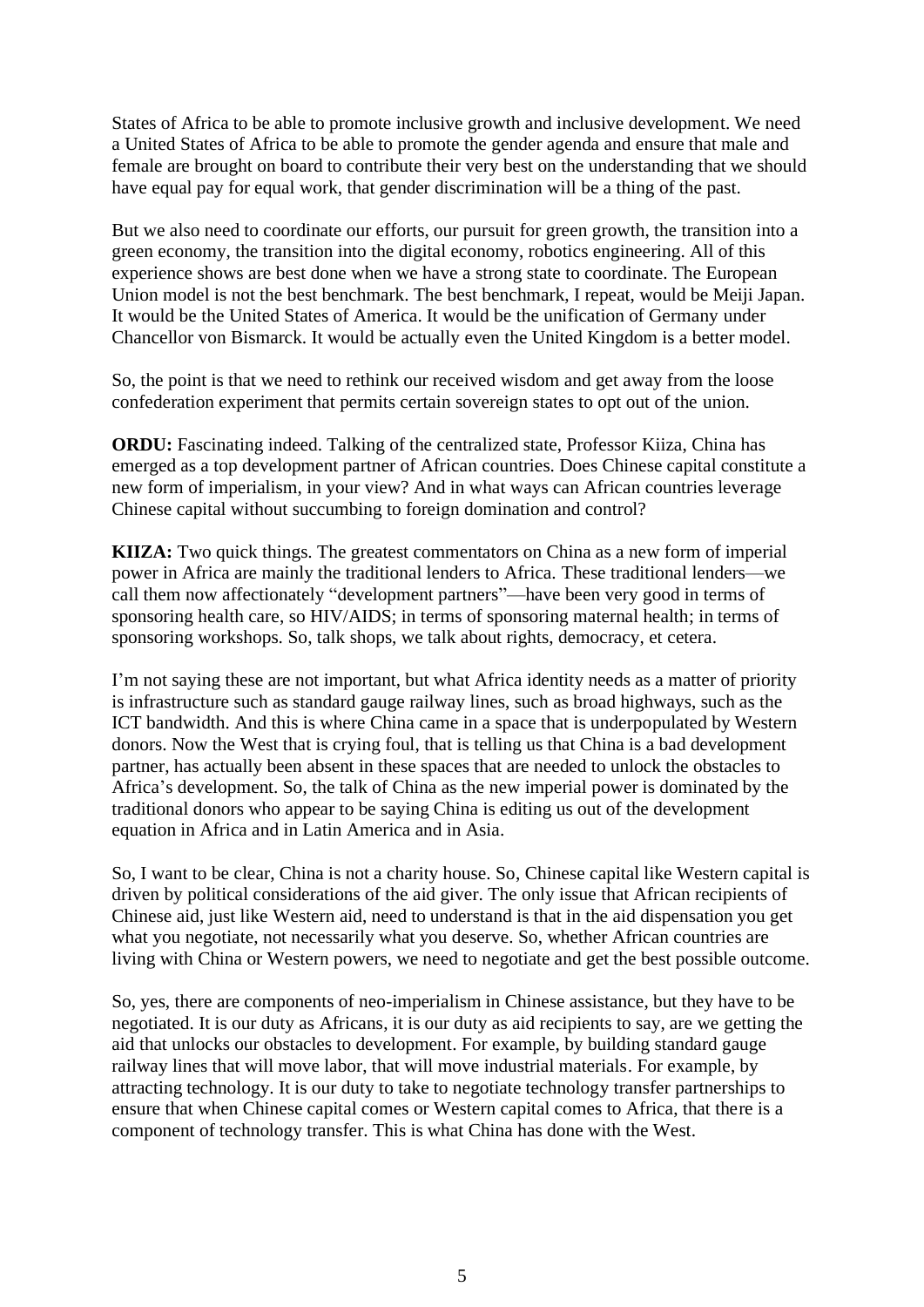States of Africa to be able to promote inclusive growth and inclusive development. We need a United States of Africa to be able to promote the gender agenda and ensure that male and female are brought on board to contribute their very best on the understanding that we should have equal pay for equal work, that gender discrimination will be a thing of the past.

But we also need to coordinate our efforts, our pursuit for green growth, the transition into a green economy, the transition into the digital economy, robotics engineering. All of this experience shows are best done when we have a strong state to coordinate. The European Union model is not the best benchmark. The best benchmark, I repeat, would be Meiji Japan. It would be the United States of America. It would be the unification of Germany under Chancellor von Bismarck. It would be actually even the United Kingdom is a better model.

So, the point is that we need to rethink our received wisdom and get away from the loose confederation experiment that permits certain sovereign states to opt out of the union.

**ORDU:** Fascinating indeed. Talking of the centralized state, Professor Kiiza, China has emerged as a top development partner of African countries. Does Chinese capital constitute a new form of imperialism, in your view? And in what ways can African countries leverage Chinese capital without succumbing to foreign domination and control?

**KIIZA:** Two quick things. The greatest commentators on China as a new form of imperial power in Africa are mainly the traditional lenders to Africa. These traditional lenders—we call them now affectionately "development partners"—have been very good in terms of sponsoring health care, so HIV/AIDS; in terms of sponsoring maternal health; in terms of sponsoring workshops. So, talk shops, we talk about rights, democracy, et cetera.

I'm not saying these are not important, but what Africa identity needs as a matter of priority is infrastructure such as standard gauge railway lines, such as broad highways, such as the ICT bandwidth. And this is where China came in a space that is underpopulated by Western donors. Now the West that is crying foul, that is telling us that China is a bad development partner, has actually been absent in these spaces that are needed to unlock the obstacles to Africa's development. So, the talk of China as the new imperial power is dominated by the traditional donors who appear to be saying China is editing us out of the development equation in Africa and in Latin America and in Asia.

So, I want to be clear, China is not a charity house. So, Chinese capital like Western capital is driven by political considerations of the aid giver. The only issue that African recipients of Chinese aid, just like Western aid, need to understand is that in the aid dispensation you get what you negotiate, not necessarily what you deserve. So, whether African countries are living with China or Western powers, we need to negotiate and get the best possible outcome.

So, yes, there are components of neo-imperialism in Chinese assistance, but they have to be negotiated. It is our duty as Africans, it is our duty as aid recipients to say, are we getting the aid that unlocks our obstacles to development. For example, by building standard gauge railway lines that will move labor, that will move industrial materials. For example, by attracting technology. It is our duty to take to negotiate technology transfer partnerships to ensure that when Chinese capital comes or Western capital comes to Africa, that there is a component of technology transfer. This is what China has done with the West.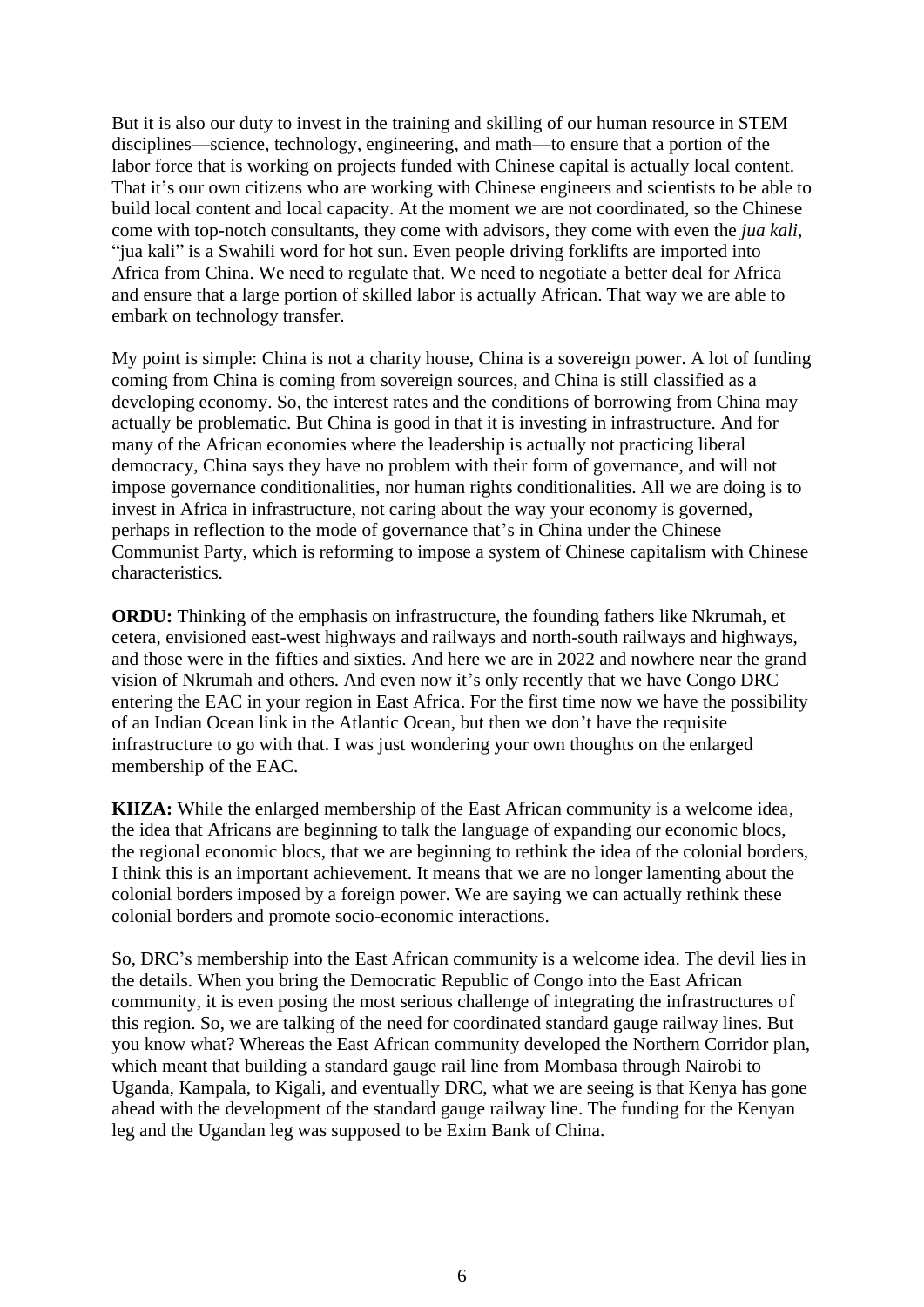But it is also our duty to invest in the training and skilling of our human resource in STEM disciplines—science, technology, engineering, and math—to ensure that a portion of the labor force that is working on projects funded with Chinese capital is actually local content. That it's our own citizens who are working with Chinese engineers and scientists to be able to build local content and local capacity. At the moment we are not coordinated, so the Chinese come with top-notch consultants, they come with advisors, they come with even the *jua kali*, "jua kali" is a Swahili word for hot sun. Even people driving forklifts are imported into Africa from China. We need to regulate that. We need to negotiate a better deal for Africa and ensure that a large portion of skilled labor is actually African. That way we are able to embark on technology transfer.

My point is simple: China is not a charity house, China is a sovereign power. A lot of funding coming from China is coming from sovereign sources, and China is still classified as a developing economy. So, the interest rates and the conditions of borrowing from China may actually be problematic. But China is good in that it is investing in infrastructure. And for many of the African economies where the leadership is actually not practicing liberal democracy, China says they have no problem with their form of governance, and will not impose governance conditionalities, nor human rights conditionalities. All we are doing is to invest in Africa in infrastructure, not caring about the way your economy is governed, perhaps in reflection to the mode of governance that's in China under the Chinese Communist Party, which is reforming to impose a system of Chinese capitalism with Chinese characteristics.

**ORDU:** Thinking of the emphasis on infrastructure, the founding fathers like Nkrumah, et cetera, envisioned east-west highways and railways and north-south railways and highways, and those were in the fifties and sixties. And here we are in 2022 and nowhere near the grand vision of Nkrumah and others. And even now it's only recently that we have Congo DRC entering the EAC in your region in East Africa. For the first time now we have the possibility of an Indian Ocean link in the Atlantic Ocean, but then we don't have the requisite infrastructure to go with that. I was just wondering your own thoughts on the enlarged membership of the EAC.

**KIIZA:** While the enlarged membership of the East African community is a welcome idea, the idea that Africans are beginning to talk the language of expanding our economic blocs, the regional economic blocs, that we are beginning to rethink the idea of the colonial borders, I think this is an important achievement. It means that we are no longer lamenting about the colonial borders imposed by a foreign power. We are saying we can actually rethink these colonial borders and promote socio-economic interactions.

So, DRC's membership into the East African community is a welcome idea. The devil lies in the details. When you bring the Democratic Republic of Congo into the East African community, it is even posing the most serious challenge of integrating the infrastructures of this region. So, we are talking of the need for coordinated standard gauge railway lines. But you know what? Whereas the East African community developed the Northern Corridor plan, which meant that building a standard gauge rail line from Mombasa through Nairobi to Uganda, Kampala, to Kigali, and eventually DRC, what we are seeing is that Kenya has gone ahead with the development of the standard gauge railway line. The funding for the Kenyan leg and the Ugandan leg was supposed to be Exim Bank of China.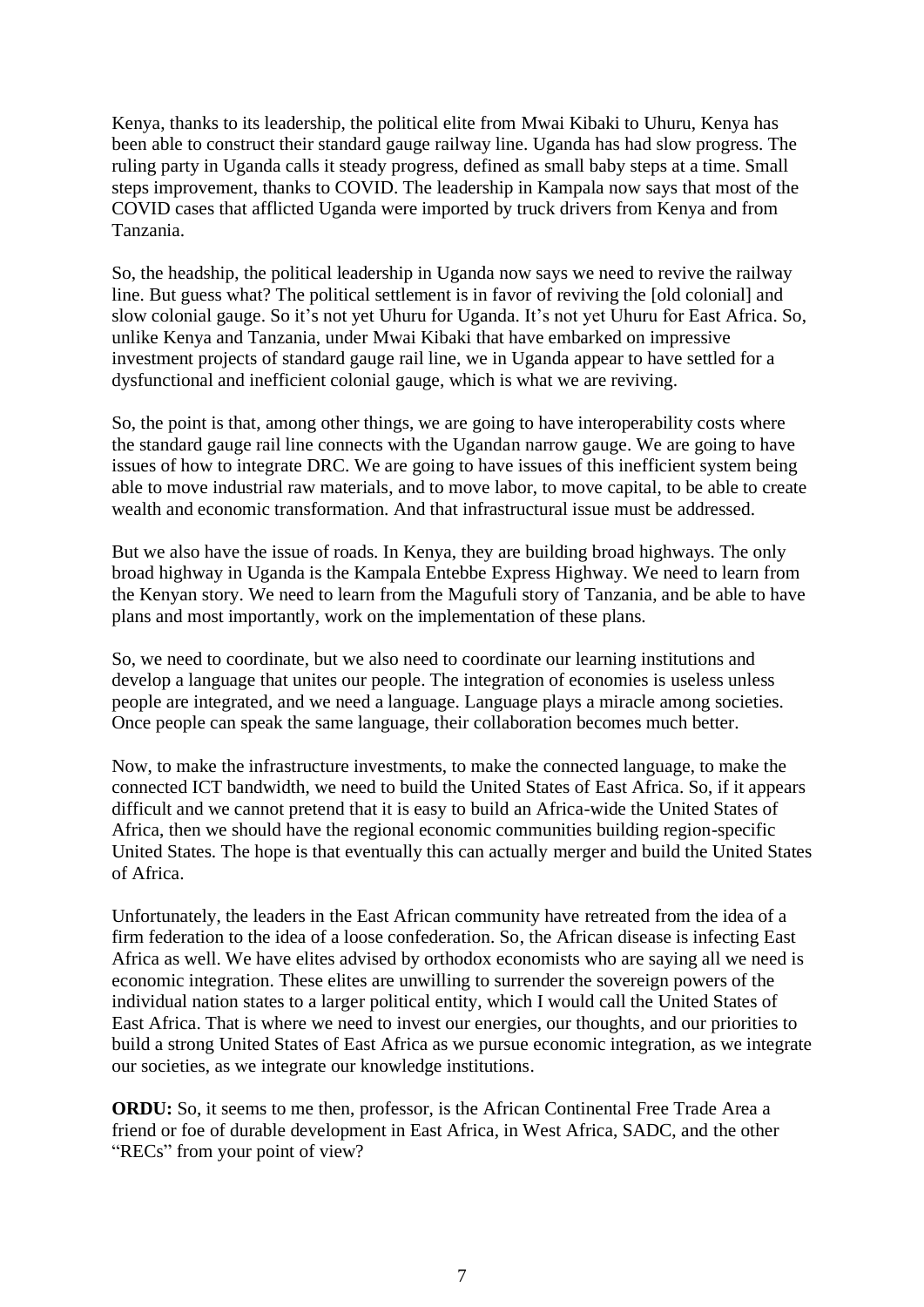Kenya, thanks to its leadership, the political elite from Mwai Kibaki to Uhuru, Kenya has been able to construct their standard gauge railway line. Uganda has had slow progress. The ruling party in Uganda calls it steady progress, defined as small baby steps at a time. Small steps improvement, thanks to COVID. The leadership in Kampala now says that most of the COVID cases that afflicted Uganda were imported by truck drivers from Kenya and from Tanzania.

So, the headship, the political leadership in Uganda now says we need to revive the railway line. But guess what? The political settlement is in favor of reviving the [old colonial] and slow colonial gauge. So it's not yet Uhuru for Uganda. It's not yet Uhuru for East Africa. So, unlike Kenya and Tanzania, under Mwai Kibaki that have embarked on impressive investment projects of standard gauge rail line, we in Uganda appear to have settled for a dysfunctional and inefficient colonial gauge, which is what we are reviving.

So, the point is that, among other things, we are going to have interoperability costs where the standard gauge rail line connects with the Ugandan narrow gauge. We are going to have issues of how to integrate DRC. We are going to have issues of this inefficient system being able to move industrial raw materials, and to move labor, to move capital, to be able to create wealth and economic transformation. And that infrastructural issue must be addressed.

But we also have the issue of roads. In Kenya, they are building broad highways. The only broad highway in Uganda is the Kampala Entebbe Express Highway. We need to learn from the Kenyan story. We need to learn from the Magufuli story of Tanzania, and be able to have plans and most importantly, work on the implementation of these plans.

So, we need to coordinate, but we also need to coordinate our learning institutions and develop a language that unites our people. The integration of economies is useless unless people are integrated, and we need a language. Language plays a miracle among societies. Once people can speak the same language, their collaboration becomes much better.

Now, to make the infrastructure investments, to make the connected language, to make the connected ICT bandwidth, we need to build the United States of East Africa. So, if it appears difficult and we cannot pretend that it is easy to build an Africa-wide the United States of Africa, then we should have the regional economic communities building region-specific United States. The hope is that eventually this can actually merger and build the United States of Africa.

Unfortunately, the leaders in the East African community have retreated from the idea of a firm federation to the idea of a loose confederation. So, the African disease is infecting East Africa as well. We have elites advised by orthodox economists who are saying all we need is economic integration. These elites are unwilling to surrender the sovereign powers of the individual nation states to a larger political entity, which I would call the United States of East Africa. That is where we need to invest our energies, our thoughts, and our priorities to build a strong United States of East Africa as we pursue economic integration, as we integrate our societies, as we integrate our knowledge institutions.

**ORDU:** So, it seems to me then, professor, is the African Continental Free Trade Area a friend or foe of durable development in East Africa, in West Africa, SADC, and the other "RECs" from your point of view?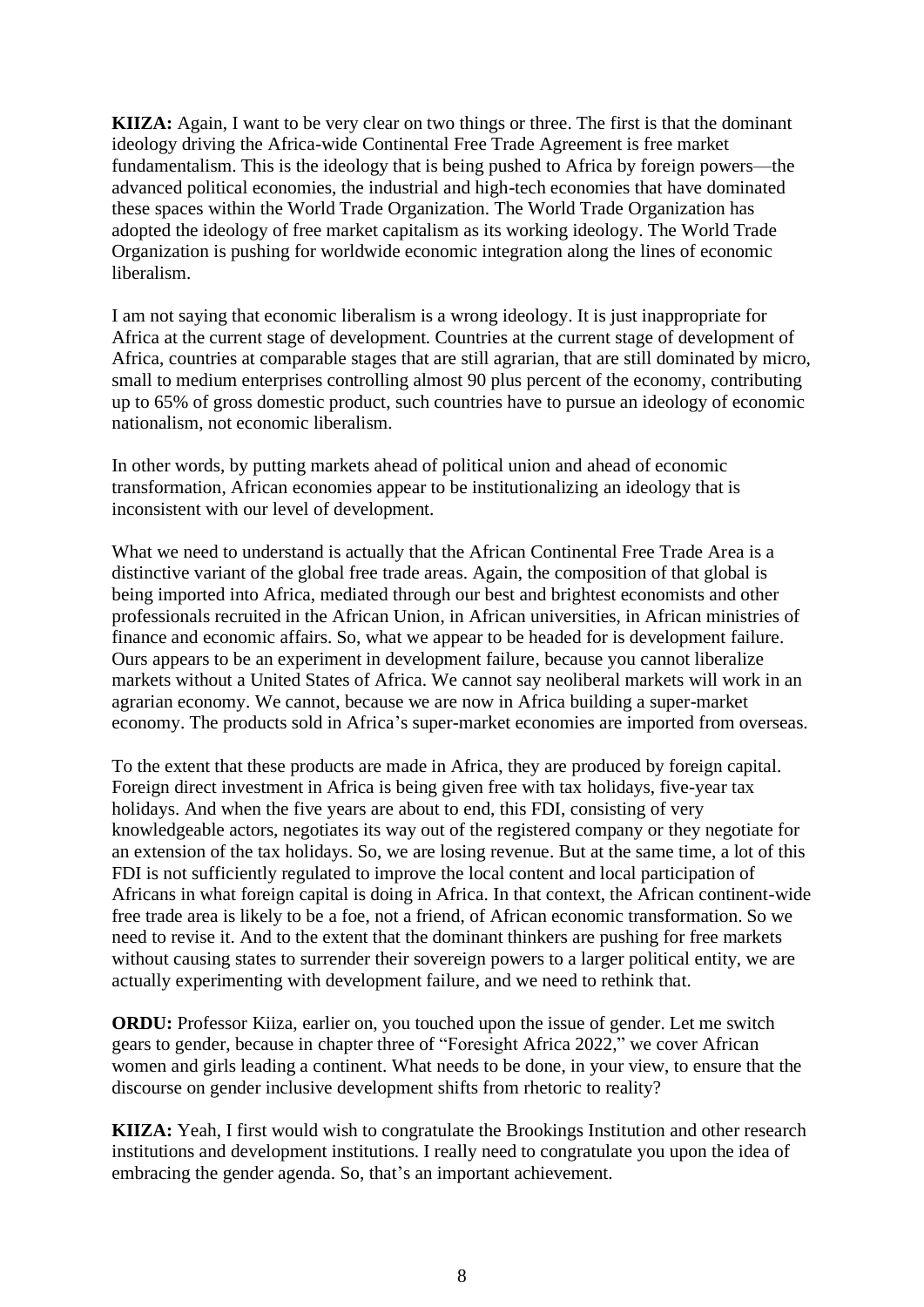**KIIZA:** Again, I want to be very clear on two things or three. The first is that the dominant ideology driving the Africa-wide Continental Free Trade Agreement is free market fundamentalism. This is the ideology that is being pushed to Africa by foreign powers—the advanced political economies, the industrial and high-tech economies that have dominated these spaces within the World Trade Organization. The World Trade Organization has adopted the ideology of free market capitalism as its working ideology. The World Trade Organization is pushing for worldwide economic integration along the lines of economic liberalism.

I am not saying that economic liberalism is a wrong ideology. It is just inappropriate for Africa at the current stage of development. Countries at the current stage of development of Africa, countries at comparable stages that are still agrarian, that are still dominated by micro, small to medium enterprises controlling almost 90 plus percent of the economy, contributing up to 65% of gross domestic product, such countries have to pursue an ideology of economic nationalism, not economic liberalism.

In other words, by putting markets ahead of political union and ahead of economic transformation, African economies appear to be institutionalizing an ideology that is inconsistent with our level of development.

What we need to understand is actually that the African Continental Free Trade Area is a distinctive variant of the global free trade areas. Again, the composition of that global is being imported into Africa, mediated through our best and brightest economists and other professionals recruited in the African Union, in African universities, in African ministries of finance and economic affairs. So, what we appear to be headed for is development failure. Ours appears to be an experiment in development failure, because you cannot liberalize markets without a United States of Africa. We cannot say neoliberal markets will work in an agrarian economy. We cannot, because we are now in Africa building a super-market economy. The products sold in Africa's super-market economies are imported from overseas.

To the extent that these products are made in Africa, they are produced by foreign capital. Foreign direct investment in Africa is being given free with tax holidays, five-year tax holidays. And when the five years are about to end, this FDI, consisting of very knowledgeable actors, negotiates its way out of the registered company or they negotiate for an extension of the tax holidays. So, we are losing revenue. But at the same time, a lot of this FDI is not sufficiently regulated to improve the local content and local participation of Africans in what foreign capital is doing in Africa. In that context, the African continent-wide free trade area is likely to be a foe, not a friend, of African economic transformation. So we need to revise it. And to the extent that the dominant thinkers are pushing for free markets without causing states to surrender their sovereign powers to a larger political entity, we are actually experimenting with development failure, and we need to rethink that.

**ORDU:** Professor Kiiza, earlier on, you touched upon the issue of gender. Let me switch gears to gender, because in chapter three of "Foresight Africa 2022," we cover African women and girls leading a continent. What needs to be done, in your view, to ensure that the discourse on gender inclusive development shifts from rhetoric to reality?

**KIIZA:** Yeah, I first would wish to congratulate the Brookings Institution and other research institutions and development institutions. I really need to congratulate you upon the idea of embracing the gender agenda. So, that's an important achievement.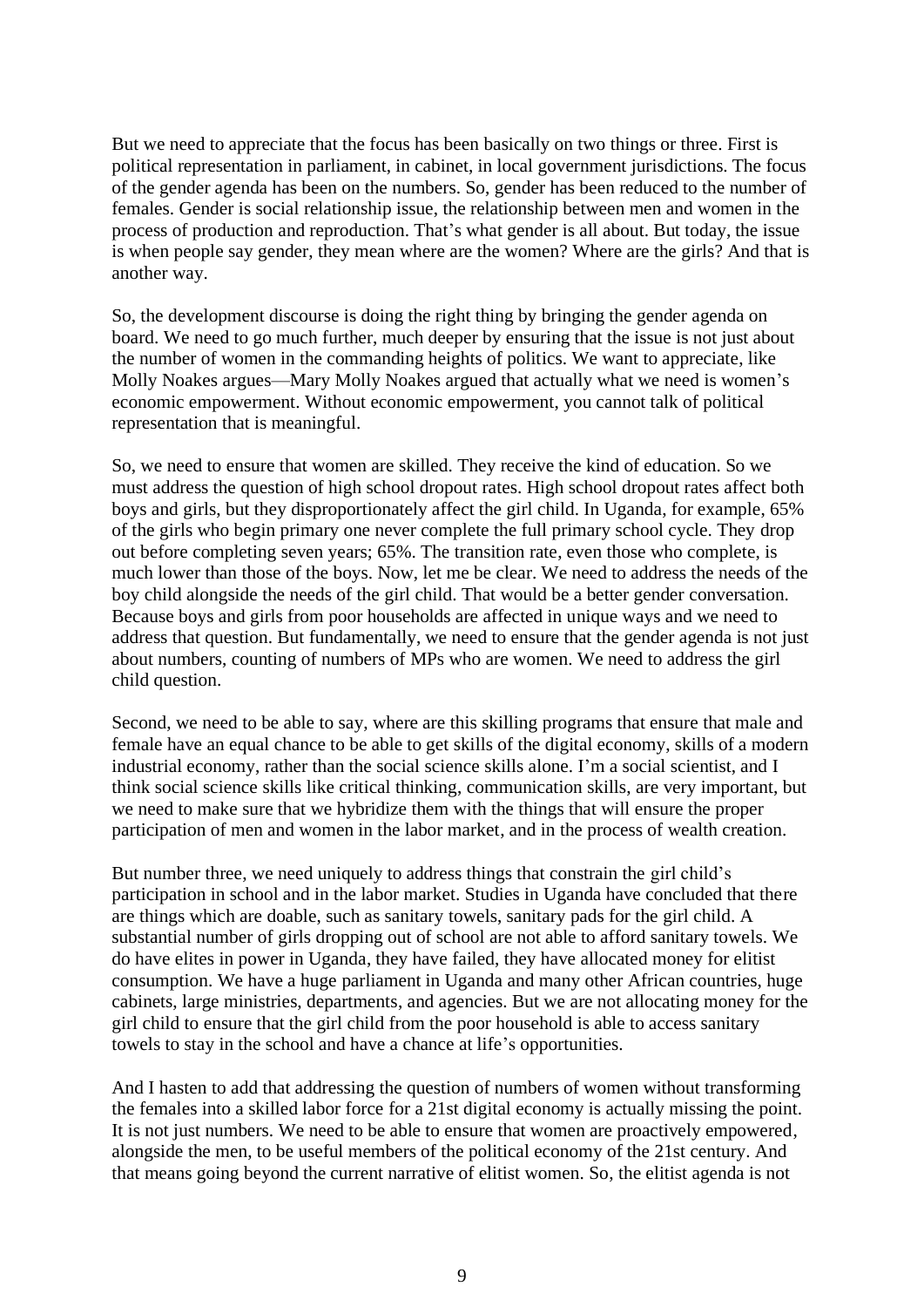But we need to appreciate that the focus has been basically on two things or three. First is political representation in parliament, in cabinet, in local government jurisdictions. The focus of the gender agenda has been on the numbers. So, gender has been reduced to the number of females. Gender is social relationship issue, the relationship between men and women in the process of production and reproduction. That's what gender is all about. But today, the issue is when people say gender, they mean where are the women? Where are the girls? And that is another way.

So, the development discourse is doing the right thing by bringing the gender agenda on board. We need to go much further, much deeper by ensuring that the issue is not just about the number of women in the commanding heights of politics. We want to appreciate, like Molly Noakes argues—Mary Molly Noakes argued that actually what we need is women's economic empowerment. Without economic empowerment, you cannot talk of political representation that is meaningful.

So, we need to ensure that women are skilled. They receive the kind of education. So we must address the question of high school dropout rates. High school dropout rates affect both boys and girls, but they disproportionately affect the girl child. In Uganda, for example, 65% of the girls who begin primary one never complete the full primary school cycle. They drop out before completing seven years; 65%. The transition rate, even those who complete, is much lower than those of the boys. Now, let me be clear. We need to address the needs of the boy child alongside the needs of the girl child. That would be a better gender conversation. Because boys and girls from poor households are affected in unique ways and we need to address that question. But fundamentally, we need to ensure that the gender agenda is not just about numbers, counting of numbers of MPs who are women. We need to address the girl child question.

Second, we need to be able to say, where are this skilling programs that ensure that male and female have an equal chance to be able to get skills of the digital economy, skills of a modern industrial economy, rather than the social science skills alone. I'm a social scientist, and I think social science skills like critical thinking, communication skills, are very important, but we need to make sure that we hybridize them with the things that will ensure the proper participation of men and women in the labor market, and in the process of wealth creation.

But number three, we need uniquely to address things that constrain the girl child's participation in school and in the labor market. Studies in Uganda have concluded that there are things which are doable, such as sanitary towels, sanitary pads for the girl child. A substantial number of girls dropping out of school are not able to afford sanitary towels. We do have elites in power in Uganda, they have failed, they have allocated money for elitist consumption. We have a huge parliament in Uganda and many other African countries, huge cabinets, large ministries, departments, and agencies. But we are not allocating money for the girl child to ensure that the girl child from the poor household is able to access sanitary towels to stay in the school and have a chance at life's opportunities.

And I hasten to add that addressing the question of numbers of women without transforming the females into a skilled labor force for a 21st digital economy is actually missing the point. It is not just numbers. We need to be able to ensure that women are proactively empowered, alongside the men, to be useful members of the political economy of the 21st century. And that means going beyond the current narrative of elitist women. So, the elitist agenda is not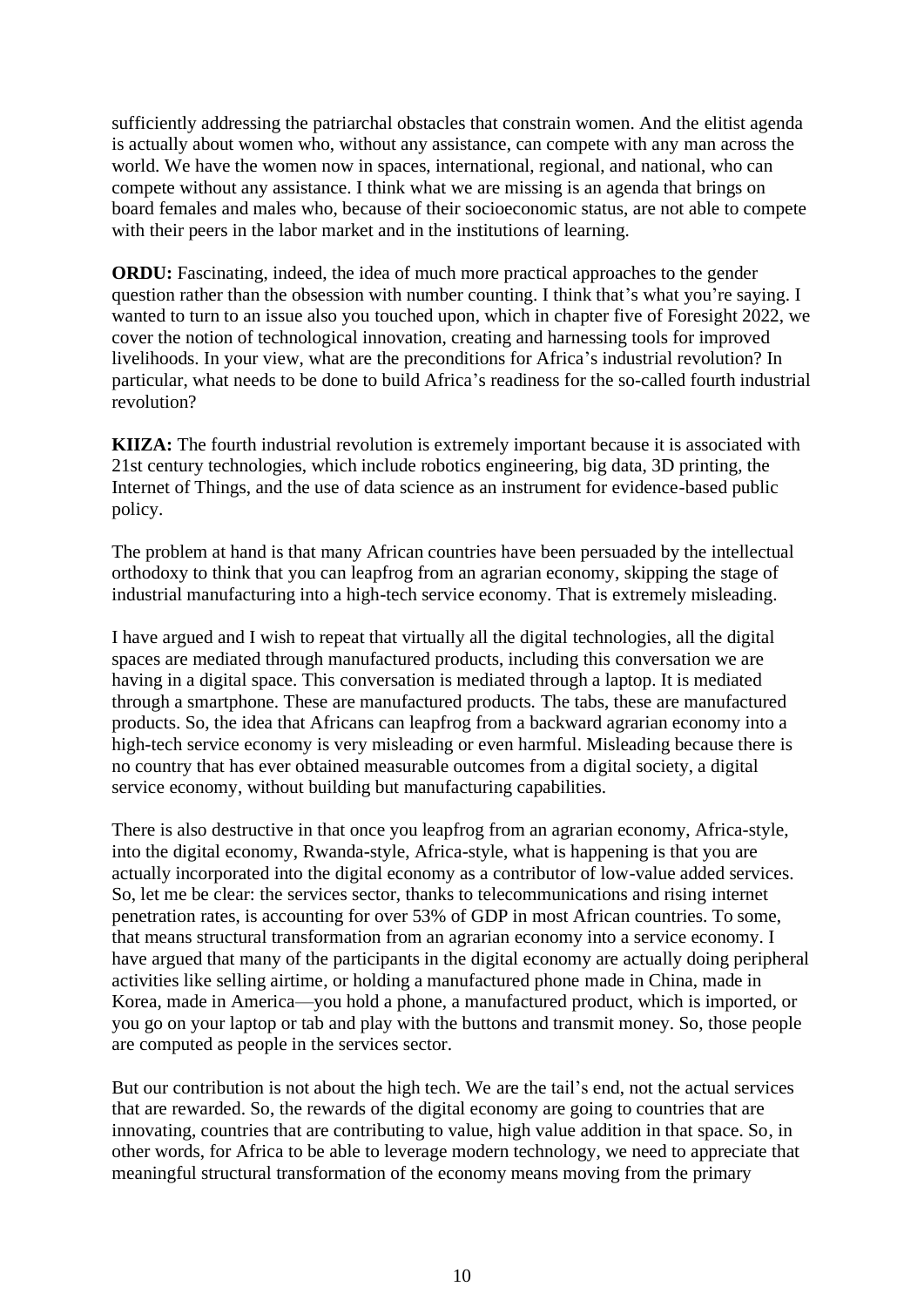sufficiently addressing the patriarchal obstacles that constrain women. And the elitist agenda is actually about women who, without any assistance, can compete with any man across the world. We have the women now in spaces, international, regional, and national, who can compete without any assistance. I think what we are missing is an agenda that brings on board females and males who, because of their socioeconomic status, are not able to compete with their peers in the labor market and in the institutions of learning.

**ORDU:** Fascinating, indeed, the idea of much more practical approaches to the gender question rather than the obsession with number counting. I think that's what you're saying. I wanted to turn to an issue also you touched upon, which in chapter five of Foresight 2022, we cover the notion of technological innovation, creating and harnessing tools for improved livelihoods. In your view, what are the preconditions for Africa's industrial revolution? In particular, what needs to be done to build Africa's readiness for the so-called fourth industrial revolution?

**KIIZA:** The fourth industrial revolution is extremely important because it is associated with 21st century technologies, which include robotics engineering, big data, 3D printing, the Internet of Things, and the use of data science as an instrument for evidence-based public policy.

The problem at hand is that many African countries have been persuaded by the intellectual orthodoxy to think that you can leapfrog from an agrarian economy, skipping the stage of industrial manufacturing into a high-tech service economy. That is extremely misleading.

I have argued and I wish to repeat that virtually all the digital technologies, all the digital spaces are mediated through manufactured products, including this conversation we are having in a digital space. This conversation is mediated through a laptop. It is mediated through a smartphone. These are manufactured products. The tabs, these are manufactured products. So, the idea that Africans can leapfrog from a backward agrarian economy into a high-tech service economy is very misleading or even harmful. Misleading because there is no country that has ever obtained measurable outcomes from a digital society, a digital service economy, without building but manufacturing capabilities.

There is also destructive in that once you leapfrog from an agrarian economy, Africa-style, into the digital economy, Rwanda-style, Africa-style, what is happening is that you are actually incorporated into the digital economy as a contributor of low-value added services. So, let me be clear: the services sector, thanks to telecommunications and rising internet penetration rates, is accounting for over 53% of GDP in most African countries. To some, that means structural transformation from an agrarian economy into a service economy. I have argued that many of the participants in the digital economy are actually doing peripheral activities like selling airtime, or holding a manufactured phone made in China, made in Korea, made in America—you hold a phone, a manufactured product, which is imported, or you go on your laptop or tab and play with the buttons and transmit money. So, those people are computed as people in the services sector.

But our contribution is not about the high tech. We are the tail's end, not the actual services that are rewarded. So, the rewards of the digital economy are going to countries that are innovating, countries that are contributing to value, high value addition in that space. So, in other words, for Africa to be able to leverage modern technology, we need to appreciate that meaningful structural transformation of the economy means moving from the primary